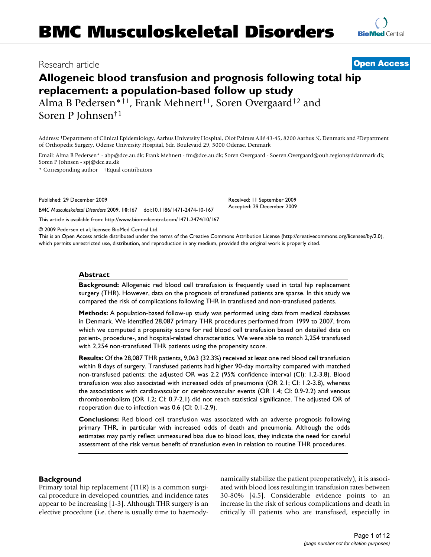# Research article **[Open Access](http://www.biomedcentral.com/info/about/charter/)**

# **Allogeneic blood transfusion and prognosis following total hip replacement: a population-based follow up study**

Alma B Pedersen\*†1, Frank Mehnert†1, Soren Overgaard†2 and Soren P Johnsen†1

Address: 1Department of Clinical Epidemiology, Aarhus University Hospital, Olof Palmes Allé 43-45, 8200 Aarhus N, Denmark and 2Department of Orthopedic Surgery, Odense University Hospital, Sdr. Boulevard 29, 5000 Odense, Denmark

Email: Alma B Pedersen\* - abp@dce.au.dk; Frank Mehnert - fm@dce.au.dk; Soren Overgaard - Soeren.Overgaard@ouh.regionsyddanmark.dk; Soren P Johnsen - spj@dce.au.dk

\* Corresponding author †Equal contributors

Published: 29 December 2009

*BMC Musculoskeletal Disorders* 2009, **10**:167 doi:10.1186/1471-2474-10-167

[This article is available from: http://www.biomedcentral.com/1471-2474/10/167](http://www.biomedcentral.com/1471-2474/10/167)

© 2009 Pedersen et al; licensee BioMed Central Ltd.

This is an Open Access article distributed under the terms of the Creative Commons Attribution License [\(http://creativecommons.org/licenses/by/2.0\)](http://creativecommons.org/licenses/by/2.0), which permits unrestricted use, distribution, and reproduction in any medium, provided the original work is properly cited.

# **Abstract**

**Background:** Allogeneic red blood cell transfusion is frequently used in total hip replacement surgery (THR). However, data on the prognosis of transfused patients are sparse. In this study we compared the risk of complications following THR in transfused and non-transfused patients.

**Methods:** A population-based follow-up study was performed using data from medical databases in Denmark. We identified 28,087 primary THR procedures performed from 1999 to 2007, from which we computed a propensity score for red blood cell transfusion based on detailed data on patient-, procedure-, and hospital-related characteristics. We were able to match 2,254 transfused with 2,254 non-transfused THR patients using the propensity score.

**Results:** Of the 28,087 THR patients, 9,063 (32.3%) received at least one red blood cell transfusion within 8 days of surgery. Transfused patients had higher 90-day mortality compared with matched non-transfused patients: the adjusted OR was 2.2 (95% confidence interval (CI): 1.2-3.8). Blood transfusion was also associated with increased odds of pneumonia (OR 2.1; CI: 1.2-3.8), whereas the associations with cardiovascular or cerebrovascular events (OR 1.4; CI: 0.9-2.2) and venous thromboembolism (OR 1.2; CI: 0.7-2.1) did not reach statistical significance. The adjusted OR of reoperation due to infection was 0.6 (CI: 0.1-2.9).

**Conclusions:** Red blood cell transfusion was associated with an adverse prognosis following primary THR, in particular with increased odds of death and pneumonia. Although the odds estimates may partly reflect unmeasured bias due to blood loss, they indicate the need for careful assessment of the risk versus benefit of transfusion even in relation to routine THR procedures.

# **Background**

Primary total hip replacement (THR) is a common surgical procedure in developed countries, and incidence rates appear to be increasing [1-3]. Although THR surgery is an elective procedure (i.e. there is usually time to haemodynamically stabilize the patient preoperatively), it is associated with blood loss resulting in transfusion rates between 30-80% [4,5]. Considerable evidence points to an increase in the risk of serious complications and death in critically ill patients who are transfused, especially in

Received: 11 September 2009 Accepted: 29 December 2009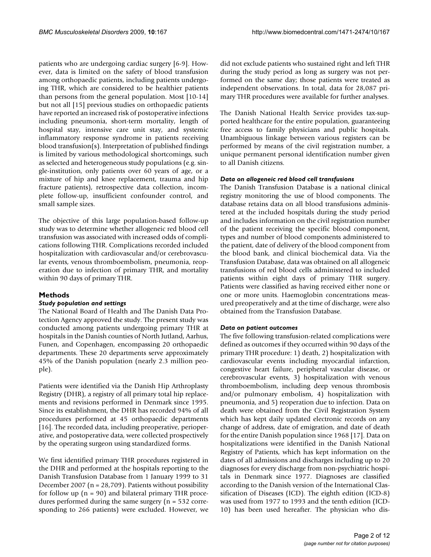patients who are undergoing cardiac surgery [6-9]. However, data is limited on the safety of blood transfusion among orthopaedic patients, including patients undergoing THR, which are considered to be healthier patients than persons from the general population. Most [10-14] but not all [15] previous studies on orthopaedic patients have reported an increased risk of postoperative infections including pneumonia, short-term mortality, length of hospital stay, intensive care unit stay, and systemic inflammatory response syndrome in patients receiving blood transfusion(s). Interpretation of published findings is limited by various methodological shortcomings, such as selected and heterogeneous study populations (e.g. single-institution, only patients over 60 years of age, or a mixture of hip and knee replacement, trauma and hip fracture patients), retrospective data collection, incomplete follow-up, insufficient confounder control, and small sample sizes.

The objective of this large population-based follow-up study was to determine whether allogeneic red blood cell transfusion was associated with increased odds of complications following THR. Complications recorded included hospitalization with cardiovascular and/or cerebrovascular events, venous thromboembolism, pneumonia, reoperation due to infection of primary THR, and mortality within 90 days of primary THR.

# **Methods**

# *Study population and settings*

The National Board of Health and The Danish Data Protection Agency approved the study. The present study was conducted among patients undergoing primary THR at hospitals in the Danish counties of North Jutland, Aarhus, Funen, and Copenhagen, encompassing 20 orthopaedic departments. These 20 departments serve approximately 45% of the Danish population (nearly 2.3 million people).

Patients were identified via the Danish Hip Arthroplasty Registry (DHR), a registry of all primary total hip replacements and revisions performed in Denmark since 1995. Since its establishment, the DHR has recorded 94% of all procedures performed at 45 orthopaedic departments [16]. The recorded data, including preoperative, perioperative, and postoperative data, were collected prospectively by the operating surgeon using standardized forms.

We first identified primary THR procedures registered in the DHR and performed at the hospitals reporting to the Danish Transfusion Database from 1 January 1999 to 31 December 2007 ( $n = 28,709$ ). Patients without possibility for follow up  $(n = 90)$  and bilateral primary THR procedures performed during the same surgery (n = 532 corresponding to 266 patients) were excluded. However, we did not exclude patients who sustained right and left THR during the study period as long as surgery was not performed on the same day; those patients were treated as independent observations. In total, data for 28,087 primary THR procedures were available for further analyses.

The Danish National Health Service provides tax-supported healthcare for the entire population, guaranteeing free access to family physicians and public hospitals. Unambiguous linkage between various registers can be performed by means of the civil registration number, a unique permanent personal identification number given to all Danish citizens.

### *Data on allogeneic red blood cell transfusions*

The Danish Transfusion Database is a national clinical registry monitoring the use of blood components. The database retains data on all blood transfusions administered at the included hospitals during the study period and includes information on the civil registration number of the patient receiving the specific blood component, types and number of blood components administered to the patient, date of delivery of the blood component from the blood bank, and clinical biochemical data. Via the Transfusion Database, data was obtained on all allogeneic transfusions of red blood cells administered to included patients within eight days of primary THR surgery. Patients were classified as having received either none or one or more units. Haemoglobin concentrations measured preoperatively and at the time of discharge, were also obtained from the Transfusion Database.

### *Data on patient outcomes*

The five following transfusion-related complications were defined as outcomes if they occurred within 90 days of the primary THR procedure: 1) death, 2) hospitalization with cardiovascular events including myocardial infarction, congestive heart failure, peripheral vascular disease, or cerebrovascular events, 3) hospitalization with venous thromboembolism, including deep venous thrombosis and/or pulmonary embolism, 4) hospitalization with pneumonia, and 5) reoperation due to infection. Data on death were obtained from the Civil Registration System which has kept daily updated electronic records on any change of address, date of emigration, and date of death for the entire Danish population since 1968 [17]. Data on hospitalizations were identified in the Danish National Registry of Patients, which has kept information on the dates of all admissions and discharges including up to 20 diagnoses for every discharge from non-psychiatric hospitals in Denmark since 1977. Diagnoses are classified according to the Danish version of the International Classification of Diseases (ICD). The eighth edition (ICD-8) was used from 1977 to 1993 and the tenth edition (ICD-10) has been used hereafter. The physician who dis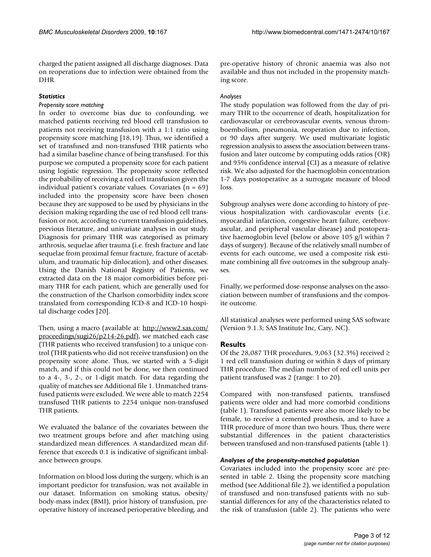charged the patient assigned all discharge diagnoses. Data on reoperations due to infection were obtained from the DHR.

# *Statistics*

# *Propensity score matching*

In order to overcome bias due to confounding, we matched patients receiving red blood cell transfusion to patients not receiving transfusion with a 1:1 ratio using propensity score matching [18,19]. Thus, we identified a set of transfused and non-transfused THR patients who had a similar baseline chance of being transfused. For this purpose we computed a propensity score for each patient using logistic regression. The propensity score reflected the probability of receiving a red cell transfusion given the individual patient's covariate values. Covariates  $(n = 69)$ included into the propensity score have been chosen because they are supposed to be used by physicians in the decision making regarding the use of red blood cell transfusion or not, according to current transfusion guidelines, previous literature, and univariate analyses in our study. Diagnosis for primary THR was categorised as primary arthrosis, sequelae after trauma (i.e. fresh fracture and late sequelae from proximal femur fracture, fracture of acetabulum, and traumatic hip dislocation), and other diseases. Using the Danish National Registry of Patients, we extracted data on the 18 major comorbidities before primary THR for each patient, which are generally used for the construction of the Charlson comorbidity index score translated from corresponding ICD-8 and ICD-10 hospital discharge codes [20].

Then, using a macro (available at: [http://www2.sas.com/](http://www2.sas.com/proceedings/sugi26/p214-26.pdf) [proceedings/sugi26/p214-26.pdf](http://www2.sas.com/proceedings/sugi26/p214-26.pdf)), we matched each case (THR patients who received transfusion) to a unique control (THR patients who did not receive transfusion) on the propensity score alone. Thus, we started with a 5-digit match, and if this could not be done, we then continued to a 4-, 3-, 2-, or 1-digit match. For data regarding the quality of matches see Additional file 1. Unmatched transfused patients were excluded. We were able to match 2254 transfused THR patients to 2254 unique non-transfused THR patients.

We evaluated the balance of the covariates between the two treatment groups before and after matching using standardized mean differences. A standardized mean difference that exceeds 0.1 is indicative of significant imbalance between groups.

Information on blood loss during the surgery, which is an important predictor for transfusion, was not available in our dataset. Information on smoking status, obesity/ body-mass index (BMI), prior history of transfusion, preoperative history of increased perioperative bleeding, and

pre-operative history of chronic anaemia was also not available and thus not included in the propensity matching score.

# *Analyses*

The study population was followed from the day of primary THR to the occurrence of death, hospitalization for cardiovascular or cerebrovascular events, venous thromboembolism, pneumonia, reoperation due to infection, or 90 days after surgery. We used multivariate logistic regression analysis to assess the association between transfusion and later outcome by computing odds ratios (OR) and 95% confidence interval (CI) as a measure of relative risk. We also adjusted for the haemoglobin concentration 1-7 days postoperative as a surrogate measure of blood loss.

Subgroup analyses were done according to history of previous hospitalization with cardiovascular events (i.e. myocardial infarction, congestive heart failure, cerebrovascular, and peripheral vascular disease) and postoperative haemoglobin level (below or above 105 g/l within 7 days of surgery). Because of the relatively small number of events for each outcome, we used a composite risk estimate combining all five outcomes in the subgroup analyses.

Finally, we performed dose-response analyses on the association between number of transfusions and the composite outcome.

All statistical analyses were performed using SAS software (Version 9.1.3; SAS Institute Inc, Cary, NC).

# **Results**

Of the 28,087 THR procedures, 9,063 (32.3%) received  $\geq$ 1 red cell transfusion during or within 8 days of primary THR procedure. The median number of red cell units per patient transfused was 2 (range: 1 to 20).

Compared with non-transfused patients, transfused patients were older and had more comorbid conditions (table 1). Transfused patients were also more likely to be female, to receive a cemented prosthesis, and to have a THR procedure of more than two hours. Thus, there were substantial differences in the patient characteristics between transfused and non-transfused patients (table 1).

# *Analyses of the propensity-matched population*

Covariates included into the propensity score are presented in table 2. Using the propensity score matching method (see Additional file 2), we identified a population of transfused and non-transfused patients with no substantial differences for any of the characteristics related to the risk of transfusion (table 2). The patients who were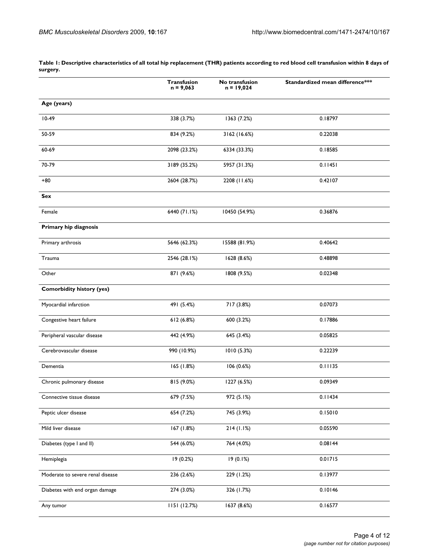|                                  | <b>Transfusion</b><br>$n = 9,063$ | No transfusion<br>$n = 19,024$ | Standardized mean difference*** |
|----------------------------------|-----------------------------------|--------------------------------|---------------------------------|
| Age (years)                      |                                   |                                |                                 |
| $10-49$                          | 338 (3.7%)                        | 1363 (7.2%)                    | 0.18797                         |
| 50-59                            | 834 (9.2%)                        | 3162 (16.6%)                   | 0.22038                         |
| 60-69                            | 2098 (23.2%)                      | 6334 (33.3%)                   | 0.18585                         |
| 70-79                            | 3189 (35.2%)                      | 5957 (31.3%)                   | 0.11451                         |
| +80                              | 2604 (28.7%)                      | 2208 (11.6%)                   | 0.42107                         |
| Sex                              |                                   |                                |                                 |
| Female                           | 6440 (71.1%)                      | 10450 (54.9%)                  | 0.36876                         |
| Primary hip diagnosis            |                                   |                                |                                 |
| Primary arthrosis                | 5646 (62.3%)                      | 15588 (81.9%)                  | 0.40642                         |
| Trauma                           | 2546 (28.1%)                      | 1628 (8.6%)                    | 0.48898                         |
| Other                            | 871 (9.6%)                        | 1808 (9.5%)                    | 0.02348                         |
| <b>Comorbidity history (yes)</b> |                                   |                                |                                 |
| Myocardial infarction            | 491 (5.4%)                        | 717 (3.8%)                     | 0.07073                         |
| Congestive heart failure         | 612 (6.8%)                        | 600 (3.2%)                     | 0.17886                         |
| Peripheral vascular disease      | 442 (4.9%)                        | 645 (3.4%)                     | 0.05825                         |
| Cerebrovascular disease          | 990 (10.9%)                       | 1010(5.3%)                     | 0.22239                         |
| Dementia                         | 165 (1.8%)                        | 106 (0.6%)                     | 0.11135                         |
| Chronic pulmonary disease        | 815 (9.0%)                        | 1227 (6.5%)                    | 0.09349                         |
| Connective tissue disease        | 679 (7.5%)                        | 972 (5.1%)                     | 0.11434                         |
| Peptic ulcer disease             | 654 (7.2%)                        | 745 (3.9%)                     | 0.15010                         |
| Mild liver disease               | 167 (1.8%)                        | 214(1.1%)                      | 0.05590                         |
| Diabetes (type I and II)         | 544 (6.0%)                        | 764 (4.0%)                     | 0.08144                         |
| Hemiplegia                       | 19 (0.2%)                         | 19 (0.1%)                      | 0.01715                         |
| Moderate to severe renal disease | 236 (2.6%)                        | 229 (1.2%)                     | 0.13977                         |
| Diabetes with end organ damage   | 274 (3.0%)                        | 326 (1.7%)                     | 0.10146                         |
| Any tumor                        | 1151 (12.7%)                      | 1637 (8.6%)                    | 0.16577                         |

**Table 1: Descriptive characteristics of all total hip replacement (THR) patients according to red blood cell transfusion within 8 days of surgery.**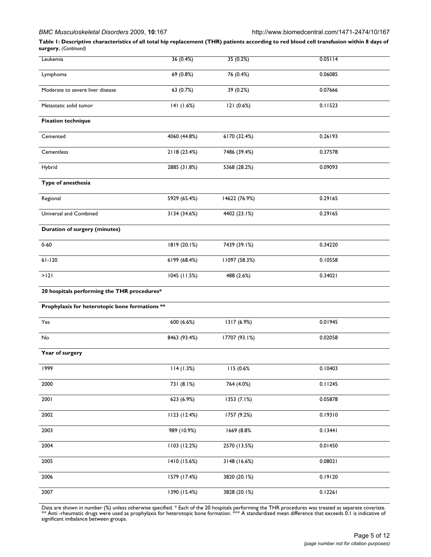### *BMC Musculoskeletal Disorders* 2009, **10**:167 http://www.biomedcentral.com/1471-2474/10/167

**Table 1: Descriptive characteristics of all total hip replacement (THR) patients according to red blood cell transfusion within 8 days of surgery.** *(Continued)*

| Leukemia                                       | 36 (0.4%)    | 35 (0.2%)     | 0.05114 |
|------------------------------------------------|--------------|---------------|---------|
| Lymphoma                                       | 69 (0.8%)    | 76 (0.4%)     | 0.06085 |
| Moderate to severe liver disease               | 63 (0.7%)    | 39 (0.2%)     | 0.07666 |
| Metastatic solid tumor                         | 141 (1.6%)   | 121 (0.6%)    | 0.11523 |
| <b>Fixation technique</b>                      |              |               |         |
| Cemented                                       | 4060 (44.8%) | 6170 (32.4%)  | 0.26193 |
| Cementless                                     | 2118 (23.4%) | 7486 (39.4%)  | 0.37578 |
| Hybrid                                         | 2885 (31.8%) | 5368 (28.2%)  | 0.09093 |
| Type of anesthesia                             |              |               |         |
| Regional                                       | 5929 (65.4%) | 14622 (76.9%) | 0.29165 |
| Universal and Combined                         | 3134 (34.6%) | 4402 (23.1%)  | 0.29165 |
| <b>Duration of surgery (minutes)</b>           |              |               |         |
| $0 - 60$                                       | 1819 (20.1%) | 7439 (39.1%)  | 0.34220 |
| $61 - 120$                                     | 6199 (68.4%) | 11097 (58.3%) | 0.10558 |
| >121                                           | 1045 (11.5%) | 488 (2.6%)    | 0.34021 |
| 20 hospitals performing the THR procedures*    |              |               |         |
| Prophylaxis for heterotopic bone formations ** |              |               |         |
| Yes                                            | 600 (6.6%)   | 1317 (6.9%)   | 0.01945 |
| No                                             | 8463 (93.4%) | 17707 (93.1%) | 0.02058 |
| Year of surgery                                |              |               |         |
| 1999                                           | 114(1.3%)    | 115 (0.6%     | 0.10403 |
| 2000                                           | 731 (8.1%)   | 764 (4.0%)    | 0.11245 |
| 2001                                           | 623 (6.9%)   | 1353 (7.1%)   | 0.05878 |
| 2002                                           | 1123 (12.4%) | 1757 (9.2%)   | 0.19310 |
| 2003                                           | 989 (10.9%)  | 1669 (8.8%    | 0.13441 |
| 2004                                           | 1103 (12.2%) | 2570 (13.5%)  | 0.01450 |
| 2005                                           | 1410 (15.6%) | 3148 (16.6%)  | 0.08021 |
| 2006                                           | 1579 (17.4%) | 3820 (20.1%)  | 0.19120 |
| 2007                                           | 1390 (15.4%) | 3828 (20.1%)  | 0.12261 |

Data are shown in number (%) unless otherwise specified. \* Each of the 20 hospitals performing the THR procedures was treated as separate covariate.<br>\*\* Anti -rheumatic drugs were used as prophylaxis for heterotopic bone fo significant imbalance between groups.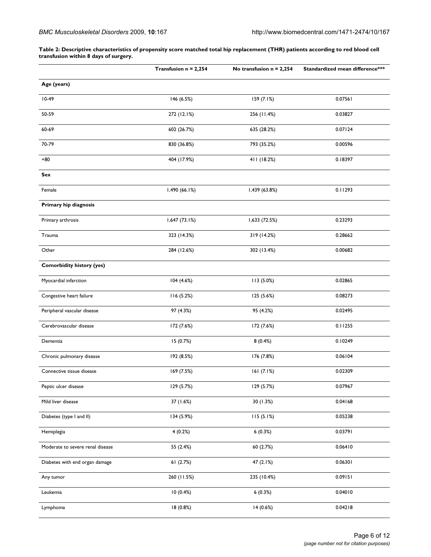**Table 2: Descriptive characteristics of propensity score matched total hip replacement (THR) patients according to red blood cell transfusion within 8 days of surgery.**

|                                  | Transfusion $n = 2,254$ | No transfusion $n = 2,254$ | Standardized mean difference*** |
|----------------------------------|-------------------------|----------------------------|---------------------------------|
| Age (years)                      |                         |                            |                                 |
| $10-49$                          | 146 (6.5%)              | 159 (7.1%)                 | 0.07561                         |
| 50-59                            | 272 (12.1%)             | 256 (11.4%)                | 0.03827                         |
| 60-69                            | 602 (26.7%)             | 635 (28.2%)                | 0.07124                         |
| 70-79                            | 830 (36.8%)             | 793 (35.2%)                | 0.00596                         |
| +80                              | 404 (17.9%)             | 411 (18.2%)                | 0.18397                         |
| Sex                              |                         |                            |                                 |
| Female                           | 1,490 (66.1%)           | 1,439 (63.8%)              | 0.11293                         |
| Primary hip diagnosis            |                         |                            |                                 |
| Primary arthrosis                | 1,647 (73.1%)           | 1,633 (72.5%)              | 0.23293                         |
| Trauma                           | 323 (14.3%)             | 319 (14.2%)                | 0.28662                         |
| Other                            | 284 (12.6%)             | 302 (13.4%)                | 0.00682                         |
| <b>Comorbidity history (yes)</b> |                         |                            |                                 |
| Myocardial infarction            | 104 (4.6%)              | 113 (5.0%)                 | 0.02865                         |
| Congestive heart failure         | 116(5.2%)               | 125 (5.6%)                 | 0.08273                         |
| Peripheral vascular disease      | 97 (4.3%)               | 95 (4.2%)                  | 0.02495                         |
| Cerebrovascular disease          | 172 (7.6%)              | 172 (7.6%)                 | 0.11255                         |
| Dementia                         | 15 (0.7%)               | 8(0.4%)                    | 0.10249                         |
| Chronic pulmonary disease        | 192 (8.5%)              | 176 (7.8%)                 | 0.06104                         |
| Connective tissue disease        | 169 (7.5%)              | 161(7.1%)                  | 0.02309                         |
| Peptic ulcer disease             | 129 (5.7%)              | 129 (5.7%)                 | 0.07967                         |
| Mild liver disease               | 37 (1.6%)               | 30 (1.3%)                  | 0.04168                         |
| Diabetes (type I and II)         | 134 (5.9%)              | 115(5.1%)                  | 0.05238                         |
| Hemiplegia                       | 4(0.2%)                 | 6(0.3%)                    | 0.03791                         |
| Moderate to severe renal disease | 55 (2.4%)               | 60 (2.7%)                  | 0.06410                         |
| Diabetes with end organ damage   | 61(2.7%)                | 47 (2.1%)                  | 0.06301                         |
| Any tumor                        | 260 (11.5%)             | 235 (10.4%)                | 0.09151                         |
| Leukemia                         | 10(0.4%)                | 6(0.3%)                    | 0.04010                         |
| Lymphoma                         | 18 (0.8%)               | 14 (0.6%)                  | 0.04218                         |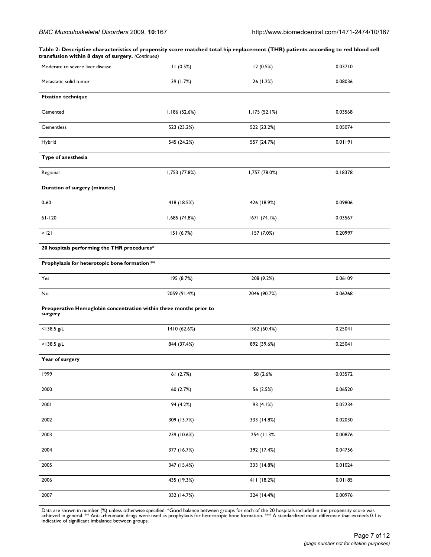**Table 2: Descriptive characteristics of propensity score matched total hip replacement (THR) patients according to red blood cell transfusion within 8 days of surgery.** *(Continued)*

| Moderate to severe liver disease                                              | 11(0.5%)      | 12(0.5%)      | 0.03710 |
|-------------------------------------------------------------------------------|---------------|---------------|---------|
| Metastatic solid tumor                                                        | 39 (1.7%)     | 26 (1.2%)     | 0.08036 |
| <b>Fixation technique</b>                                                     |               |               |         |
| Cemented                                                                      | 1,186 (52.6%) | 1,175 (52.1%) | 0.03568 |
| Cementless                                                                    | 523 (23.2%)   | 522 (23.2%)   | 0.05074 |
| Hybrid                                                                        | 545 (24.2%)   | 557 (24.7%)   | 0.01191 |
| Type of anesthesia                                                            |               |               |         |
| Regional                                                                      | 1,753 (77.8%) | 1,757 (78.0%) | 0.18378 |
| <b>Duration of surgery (minutes)</b>                                          |               |               |         |
| $0 - 60$                                                                      | 418 (18.5%)   | 426 (18.9%)   | 0.09806 |
| $61 - 120$                                                                    | 1,685 (74.8%) | 1671 (74.1%)  | 0.03567 |
| >121                                                                          | 151 (6.7%)    | 157 (7.0%)    | 0.20997 |
| 20 hospitals performing the THR procedures*                                   |               |               |         |
| Prophylaxis for heterotopic bone formation **                                 |               |               |         |
| Yes                                                                           | 195 (8.7%)    | 208 (9.2%)    | 0.06109 |
| No                                                                            | 2059 (91.4%)  | 2046 (90.7%)  | 0.06268 |
| Preoperative Hemoglobin concentration within three months prior to<br>surgery |               |               |         |
| $<$ 138.5 g/L                                                                 | 1410 (62.6%)  | 1362 (60.4%)  | 0.25041 |
| >138.5 g/L                                                                    | 844 (37.4%)   | 892 (39.6%)   | 0.25041 |
| Year of surgery                                                               |               |               |         |
| 1999                                                                          | 61 (2.7%)     | 58 (2.6%      | 0.03572 |
| 2000                                                                          | 60 (2.7%)     | 56 (2.5%)     | 0.06520 |
| 2001                                                                          | 94 (4.2%)     | 93 (4.1%)     | 0.02234 |
| 2002                                                                          | 309 (13.7%)   | 333 (14.8%)   | 0.02030 |
| 2003                                                                          | 239 (10.6%)   | 254 (11.3%)   | 0.00876 |
| 2004                                                                          | 377 (16.7%)   | 392 (17.4%)   | 0.04756 |
| 2005                                                                          | 347 (15.4%)   | 333 (14.8%)   | 0.01024 |
| 2006                                                                          | 435 (19.3%)   | 411 (18.2%)   | 0.01185 |
| 2007                                                                          | 332 (14.7%)   | 324 (14.4%)   | 0.00976 |

Data are shown in number (%) unless otherwise specified. \*Good balance between groups for each of the 20 hospitals included in the propensity score was<br>achieved in general. \*\* Anti -rheumatic drugs were used as prophylaxis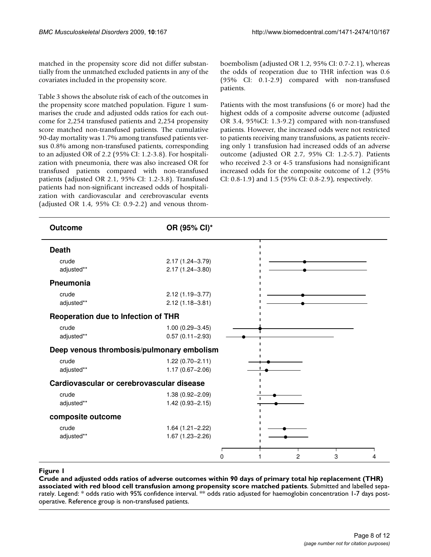matched in the propensity score did not differ substantially from the unmatched excluded patients in any of the covariates included in the propensity score.

Table 3 shows the absolute risk of each of the outcomes in the propensity score matched population. Figure 1 summarises the crude and adjusted odds ratios for each outcome for 2,254 transfused patients and 2,254 propensity score matched non-transfused patients. The cumulative 90-day mortality was 1.7% among transfused patients versus 0.8% among non-transfused patients, corresponding to an adjusted OR of 2.2 (95% CI: 1.2-3.8). For hospitalization with pneumonia, there was also increased OR for transfused patients compared with non-transfused patients (adjusted OR 2.1, 95% CI: 1.2-3.8). Transfused patients had non-significant increased odds of hospitalization with cardiovascular and cerebrovascular events (adjusted OR 1.4, 95% CI: 0.9-2.2) and venous thromboembolism (adjusted OR 1.2, 95% CI: 0.7-2.1), whereas the odds of reoperation due to THR infection was 0.6 (95% CI: 0.1-2.9) compared with non-transfused patients.

Patients with the most transfusions (6 or more) had the highest odds of a composite adverse outcome (adjusted OR 3.4, 95%CI: 1.3-9.2) compared with non-transfused patients. However, the increased odds were not restricted to patients receiving many transfusions, as patients receiving only 1 transfusion had increased odds of an adverse outcome (adjusted OR 2.7, 95% CI: 1.2-5.7). Patients who received 2-3 or 4-5 transfusions had nonsignificant increased odds for the composite outcome of 1.2 (95% CI: 0.8-1.9) and 1.5 (95% CI: 0.8-2.9), respectively.

| <b>Outcome</b>                            | OR (95% CI)*                               |                          |
|-------------------------------------------|--------------------------------------------|--------------------------|
| <b>Death</b>                              |                                            |                          |
| crude<br>adjusted**                       | 2.17 (1.24-3.79)<br>2.17 (1.24-3.80)       |                          |
| Pneumonia                                 |                                            |                          |
| crude<br>adjusted**                       | 2.12 (1.19-3.77)<br>$2.12(1.18 - 3.81)$    |                          |
| Reoperation due to Infection of THR       |                                            |                          |
| crude<br>adjusted**                       | $1.00(0.29 - 3.45)$<br>$0.57(0.11 - 2.93)$ |                          |
| Deep venous thrombosis/pulmonary embolism |                                            |                          |
| crude<br>adjusted**                       | $1.22(0.70 - 2.11)$<br>$1.17(0.67 - 2.06)$ |                          |
| Cardiovascular or cerebrovascular disease |                                            |                          |
| crude<br>adjusted**                       | $1.38(0.92 - 2.09)$<br>$1.42(0.93 - 2.15)$ |                          |
| composite outcome                         |                                            |                          |
| crude<br>adjusted**                       | $1.64(1.21 - 2.22)$<br>$1.67(1.23 - 2.26)$ |                          |
|                                           | $\Omega$                                   | $\overline{c}$<br>3<br>4 |

red blood cell transfusion among **Figure 1** Crude and adjusted odds ratios of advers propensity score matched patients e outcomes within 90 days of primary total hip replacement (THR) associated with **Crude and adjusted odds ratios of adverse outcomes within 90 days of primary total hip replacement (THR) associated with red blood cell transfusion among propensity score matched patients**. Submitted and labelled separately. Legend: \* odds ratio with 95% confidence interval. \*\* odds ratio adjusted for haemoglobin concentration 1-7 days postoperative. Reference group is non-transfused patients.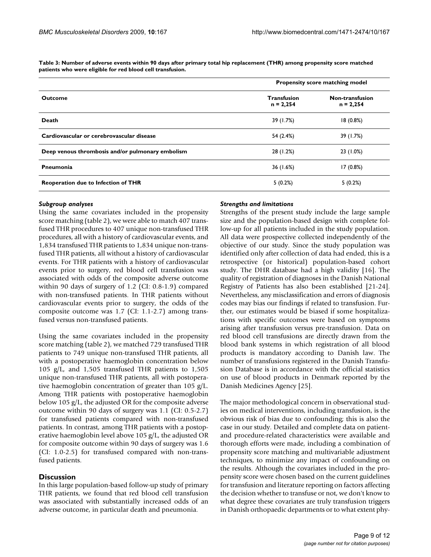|                                                  | Propensity score matching model   |                                |  |
|--------------------------------------------------|-----------------------------------|--------------------------------|--|
| <b>Outcome</b>                                   | <b>Transfusion</b><br>$n = 2,254$ | Non-transfusion<br>$n = 2,254$ |  |
| Death                                            | 39 (1.7%)                         | 18(0.8%)                       |  |
| Cardiovascular or cerebrovascular disease        | 54 (2.4%)                         | 39 (1.7%)                      |  |
| Deep venous thrombosis and/or pulmonary embolism | 28 (1.2%)                         | 23 (1.0%)                      |  |
| Pneumonia                                        | 36 (1.6%)                         | 17(0.8%)                       |  |
| Reoperation due to Infection of THR              | 5(0.2%)                           | 5(0.2%)                        |  |

**Table 3: Number of adverse events within 90 days after primary total hip replacement (THR) among propensity score matched patients who were eligible for red blood cell transfusion.**

### *Subgroup analyses*

Using the same covariates included in the propensity score matching (table 2), we were able to match 407 transfused THR procedures to 407 unique non-transfused THR procedures, all with a history of cardiovascular events, and 1,834 transfused THR patients to 1,834 unique non-transfused THR patients, all without a history of cardiovascular events. For THR patients with a history of cardiovascular events prior to surgery, red blood cell transfusion was associated with odds of the composite adverse outcome within 90 days of surgery of 1.2 (CI: 0.8-1.9) compared with non-transfused patients. In THR patients without cardiovascular events prior to surgery, the odds of the composite outcome was 1.7 (CI: 1.1-2.7) among transfused versus non-transfused patients.

Using the same covariates included in the propensity score matching (table 2), we matched 729 transfused THR patients to 749 unique non-transfused THR patients, all with a postoperative haemoglobin concentration below 105 g/L, and 1,505 transfused THR patients to 1,505 unique non-transfused THR patients, all with postoperative haemoglobin concentration of greater than 105 g/L. Among THR patients with postoperative haemoglobin below 105 g/L, the adjusted OR for the composite adverse outcome within 90 days of surgery was 1.1 (CI: 0.5-2.7) for transfused patients compared with non-transfused patients. In contrast, among THR patients with a postoperative haemoglobin level above 105 g/L, the adjusted OR for composite outcome within 90 days of surgery was 1.6 (CI: 1.0-2.5) for transfused compared with non-transfused patients.

# **Discussion**

In this large population-based follow-up study of primary THR patients, we found that red blood cell transfusion was associated with substantially increased odds of an adverse outcome, in particular death and pneumonia.

### *Strengths and limitations*

Strengths of the present study include the large sample size and the population-based design with complete follow-up for all patients included in the study population. All data were prospective collected independently of the objective of our study. Since the study population was identified only after collection of data had ended, this is a retrospective (or historical) population-based cohort study. The DHR database had a high validity [16]. The quality of registration of diagnoses in the Danish National Registry of Patients has also been established [21-24]. Nevertheless, any misclassification and errors of diagnosis codes may bias our findings if related to transfusion. Further, our estimates would be biased if some hospitalizations with specific outcomes were based on symptoms arising after transfusion versus pre-transfusion. Data on red blood cell transfusions are directly drawn from the blood bank systems in which registration of all blood products is mandatory according to Danish law. The number of transfusions registered in the Danish Transfusion Database is in accordance with the official statistics on use of blood products in Denmark reported by the Danish Medicines Agency [25].

The major methodological concern in observational studies on medical interventions, including transfusion, is the obvious risk of bias due to confounding; this is also the case in our study. Detailed and complete data on patientand procedure-related characteristics were available and thorough efforts were made, including a combination of propensity score matching and multivariable adjustment techniques, to minimize any impact of confounding on the results. Although the covariates included in the propensity score were chosen based on the current guidelines for transfusion and literature reporting on factors affecting the decision whether to transfuse or not, we don't know to what degree these covariates are truly transfusion triggers in Danish orthopaedic departments or to what extent phy-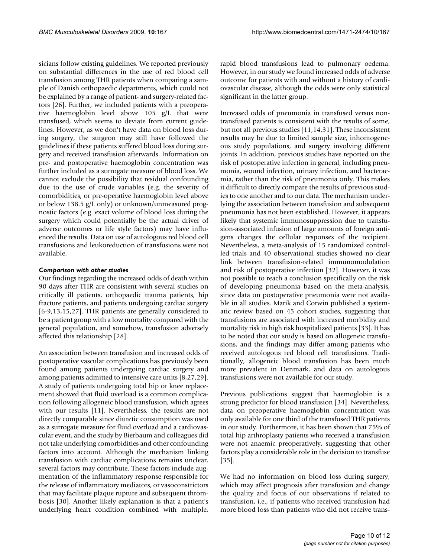sicians follow existing guidelines. We reported previously on substantial differences in the use of red blood cell transfusion among THR patients when comparing a sample of Danish orthopaedic departments, which could not be explained by a range of patient- and surgery-related factors [26]. Further, we included patients with a preoperative haemoglobin level above 105 g/L that were transfused, which seems to deviate from current guidelines. However, as we don't have data on blood loss during surgery, the surgeon may still have followed the guidelines if these patients suffered blood loss during surgery and received transfusion afterwards. Information on pre- and postoperative haemoglobin concentration was further included as a surrogate measure of blood loss. We cannot exclude the possibility that residual confounding due to the use of crude variables (e.g. the severity of comorbidities, or pre-operative haemoglobin level above or below 138.5 g/L only) or unknown/unmeasured prognostic factors (e.g. exact volume of blood loss during the surgery which could potentially be the actual driver of adverse outcomes or life style factors) may have influenced the results. Data on use of autologous red blood cell transfusions and leukoreduction of transfusions were not available.

# *Comparison with other studies*

Our findings regarding the increased odds of death within 90 days after THR are consistent with several studies on critically ill patients, orthopaedic trauma patients, hip fracture patients, and patients undergoing cardiac surgery [6-9,13,15,27]. THR patients are generally considered to be a patient group with a low mortality compared with the general population, and somehow, transfusion adversely affected this relationship [28].

An association between transfusion and increased odds of postoperative vascular complications has previously been found among patients undergoing cardiac surgery and among patients admitted to intensive care units [8,27,29]. A study of patients undergoing total hip or knee replacement showed that fluid overload is a common complication following allogeneic blood transfusion, which agrees with our results [11]. Nevertheless, the results are not directly comparable since diuretic consumption was used as a surrogate measure for fluid overload and a cardiovascular event, and the study by Bierbaum and colleagues did not take underlying comorbidities and other confounding factors into account. Although the mechanism linking transfusion with cardiac complications remains unclear, several factors may contribute. These factors include augmentation of the inflammatory response responsible for the release of inflammatory mediators, or vasoconstrictors that may facilitate plaque rupture and subsequent thrombosis [30]. Another likely explanation is that a patient's underlying heart condition combined with multiple,

rapid blood transfusions lead to pulmonary oedema. However, in our study we found increased odds of adverse outcome for patients with and without a history of cardiovascular disease, although the odds were only statistical significant in the latter group.

Increased odds of pneumonia in transfused versus nontransfused patients is consistent with the results of some, but not all previous studies [11,14,31]. These inconsistent results may be due to limited sample size, inhomogeneous study populations, and surgery involving different joints. In addition, previous studies have reported on the risk of postoperative infection in general, including pneumonia, wound infection, urinary infection, and bacteraemia, rather than the risk of pneumonia only. This makes it difficult to directly compare the results of previous studies to one another and to our data. The mechanism underlying the association between transfusion and subsequent pneumonia has not been established. However, it appears likely that systemic immunosuppression due to transfusion-associated infusion of large amounts of foreign antigens changes the cellular responses of the recipient. Nevertheless, a meta-analysis of 15 randomized controlled trials and 40 observational studies showed no clear link between transfusion-related immunomodulation and risk of postoperative infection [32]. However, it was not possible to reach a conclusion specifically on the risk of developing pneumonia based on the meta-analysis, since data on postoperative pneumonia were not available in all studies. Marik and Corwin published a systematic review based on 45 cohort studies, suggesting that transfusions are associated with increased morbidity and mortality risk in high risk hospitalized patients [33]. It has to be noted that our study is based on allogeneic transfusions, and the findings may differ among patients who received autologous red blood cell transfusions. Traditionally, allogeneic blood transfusion has been much more prevalent in Denmark, and data on autologous transfusions were not available for our study.

Previous publications suggest that haemoglobin is a strong predictor for blood transfusion [34]. Nevertheless, data on preoperative haemoglobin concentration was only available for one third of the transfused THR patients in our study. Furthermore, it has been shown that 75% of total hip arthroplasty patients who received a transfusion were not anaemic preoperatively, suggesting that other factors play a considerable role in the decision to transfuse [35].

We had no information on blood loss during surgery, which may affect prognosis after transfusion and change the quality and focus of our observations if related to transfusion, i.e., if patients who received transfusion had more blood loss than patients who did not receive trans-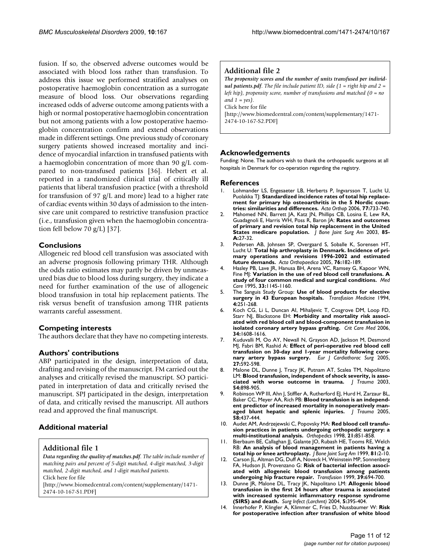fusion. If so, the observed adverse outcomes would be associated with blood loss rather than transfusion. To address this issue we performed stratified analyses on postoperative haemoglobin concentration as a surrogate measure of blood loss. Our observations regarding increased odds of adverse outcome among patients with a high or normal postoperative haemoglobin concentration but not among patients with a low postoperative haemoglobin concentration confirm and extend observations made in different settings. One previous study of coronary surgery patients showed increased mortality and incidence of myocardial infarction in transfused patients with a haemoglobin concentration of more than 90 g/L compared to non-transfused patients [36]. Hebert et al. reported in a randomized clinical trial of critically ill patients that liberal transfusion practice (with a threshold for transfusion of 97 g/L and more) lead to a higher rate of cardiac events within 30 days of admission to the intensive care unit compared to restrictive transfusion practice (i.e., transfusion given when the haemoglobin concentration fell below 70 g/L) [37].

# **Conclusions**

Allogeneic red blood cell transfusion was associated with an adverse prognosis following primary THR. Although the odds ratio estimates may partly be driven by unmeasured bias due to blood loss during surgery, they indicate a need for further examination of the use of allogeneic blood transfusion in total hip replacement patients. The risk versus benefit of transfusion among THR patients warrants careful assessment.

# **Competing interests**

The authors declare that they have no competing interests.

# **Authors' contributions**

ABP participated in the design, interpretation of data, drafting and revising of the manuscript. FM carried out the analyses and critically revised the manuscript. SO participated in interpretation of data and critically revised the manuscript. SPJ participated in the design, interpretation of data, and critically revised the manuscript. All authors read and approved the final manuscript.

# **Additional material**

# **Additional file 1**

*Data regarding the quality of matches.pdf. The table include number of matching pairs and percent of 5-digit matched, 4-digit matched, 3-digit matched, 2-digit matched, and 1-digit matched patients.* Click here for file

[\[http://www.biomedcentral.com/content/supplementary/1471-](http://www.biomedcentral.com/content/supplementary/1471-2474-10-167-S1.PDF) 2474-10-167-S1.PDF]

# **Additional file 2**

*The propensity scores and the number of units transfused per individual patients.pdf. The file include patient ID, side (1 = right hip and 2 = left hip), propensity score, number of transfusions and matched (0 = no and 1 = yes).* Click here for file

[\[http://www.biomedcentral.com/content/supplementary/1471-](http://www.biomedcentral.com/content/supplementary/1471-2474-10-167-S2.PDF) 2474-10-167-S2.PDF]

# **Acknowledgements**

Funding: None. The authors wish to thank the orthopaedic surgeons at all hospitals in Denmark for co-operation regarding the registry.

### **References**

- Lohmander LS, Engesaeter LB, Herberts P, Ingvarsson T, Lucht U, Puolakka TJ: **[Standardized incidence rates of total hip replace](http://www.ncbi.nlm.nih.gov/entrez/query.fcgi?cmd=Retrieve&db=PubMed&dopt=Abstract&list_uids=17068703)[ment for primary hip osteoarthritis in the 5 Nordic coun](http://www.ncbi.nlm.nih.gov/entrez/query.fcgi?cmd=Retrieve&db=PubMed&dopt=Abstract&list_uids=17068703)[tries: similarities and differences.](http://www.ncbi.nlm.nih.gov/entrez/query.fcgi?cmd=Retrieve&db=PubMed&dopt=Abstract&list_uids=17068703)** *Acta Orthop* 2006, **77:**733-740.
- 2. Mahomed NN, Barrett JA, Katz JN, Phillips CB, Losina E, Lew RA, Guadagnoli E, Harris WH, Poss R, Baron JA: **[Rates and outcomes](http://www.ncbi.nlm.nih.gov/entrez/query.fcgi?cmd=Retrieve&db=PubMed&dopt=Abstract&list_uids=12533568) [of primary and revision total hip replacement in the United](http://www.ncbi.nlm.nih.gov/entrez/query.fcgi?cmd=Retrieve&db=PubMed&dopt=Abstract&list_uids=12533568) [States medicare population.](http://www.ncbi.nlm.nih.gov/entrez/query.fcgi?cmd=Retrieve&db=PubMed&dopt=Abstract&list_uids=12533568)** *J Bone Joint Surg Am* 2003, **85- A:**27-32.
- 3. Pedersen AB, Johnsen SP, Overgaard S, Soballe K, Sorensen HT, Lucht U: **[Total hip arthroplasty in Denmark. Incidence of pri](http://www.ncbi.nlm.nih.gov/entrez/query.fcgi?cmd=Retrieve&db=PubMed&dopt=Abstract&list_uids=16097542)[mary operations and revisions 1996-2002 and estimated](http://www.ncbi.nlm.nih.gov/entrez/query.fcgi?cmd=Retrieve&db=PubMed&dopt=Abstract&list_uids=16097542) [future demands.](http://www.ncbi.nlm.nih.gov/entrez/query.fcgi?cmd=Retrieve&db=PubMed&dopt=Abstract&list_uids=16097542)** *Acta Orthopaedica* 2005, **76:**182-189.
- 4. Hasley PB, Lave JR, Hanusa BH, Arena VC, Ramsey G, Kapoor WN, Fine MJ: **[Variation in the use of red blood cell transfusions. A](http://www.ncbi.nlm.nih.gov/entrez/query.fcgi?cmd=Retrieve&db=PubMed&dopt=Abstract&list_uids=7475423) [study of four common medical and surgical conditions.](http://www.ncbi.nlm.nih.gov/entrez/query.fcgi?cmd=Retrieve&db=PubMed&dopt=Abstract&list_uids=7475423)** *Med Care* 1995, **33:**1145-1160.
- 5. The Sanguis Study Group: **[Use of blood products for elective](http://www.ncbi.nlm.nih.gov/entrez/query.fcgi?cmd=Retrieve&db=PubMed&dopt=Abstract&list_uids=7889138) [surgery in 43 European hospitals.](http://www.ncbi.nlm.nih.gov/entrez/query.fcgi?cmd=Retrieve&db=PubMed&dopt=Abstract&list_uids=7889138)** *Transfusion Medicine* 1994, **4:**251-268.
- 6. Koch CG, Li L, Duncan AI, Mihaljevic T, Cosgrove DM, Loop FD, Starr NJ, Blackstone EH: **[Morbidity and mortality risk associ](http://www.ncbi.nlm.nih.gov/entrez/query.fcgi?cmd=Retrieve&db=PubMed&dopt=Abstract&list_uids=16607235)[ated with red blood cell and blood-component transfusion in](http://www.ncbi.nlm.nih.gov/entrez/query.fcgi?cmd=Retrieve&db=PubMed&dopt=Abstract&list_uids=16607235) [isolated coronary artery bypass grafting.](http://www.ncbi.nlm.nih.gov/entrez/query.fcgi?cmd=Retrieve&db=PubMed&dopt=Abstract&list_uids=16607235)** *Crit Care Med* 2006, **34:**1608-1616.
- 7. Kuduvalli M, Oo AY, Newall N, Grayson AD, Jackson M, Desmond MJ, Fabri BM, Rashid A: **[Effect of peri-operative red blood cell](http://www.ncbi.nlm.nih.gov/entrez/query.fcgi?cmd=Retrieve&db=PubMed&dopt=Abstract&list_uids=15784356) [transfusion on 30-day and 1-year mortality following coro](http://www.ncbi.nlm.nih.gov/entrez/query.fcgi?cmd=Retrieve&db=PubMed&dopt=Abstract&list_uids=15784356)[nary artery bypass surgery.](http://www.ncbi.nlm.nih.gov/entrez/query.fcgi?cmd=Retrieve&db=PubMed&dopt=Abstract&list_uids=15784356)** *Eur J Cardiothorac Surg* 2005, **27:**592-598.
- 8. Malone DL, Dunne J, Tracy JK, Putnam AT, Scalea TM, Napolitano LM: **[Blood transfusion, independent of shock severity, is asso](http://www.ncbi.nlm.nih.gov/entrez/query.fcgi?cmd=Retrieve&db=PubMed&dopt=Abstract&list_uids=12777902)[ciated with worse outcome in trauma.](http://www.ncbi.nlm.nih.gov/entrez/query.fcgi?cmd=Retrieve&db=PubMed&dopt=Abstract&list_uids=12777902)** *J Trauma* 2003, **54:**898-905.
- 9. Robinson WP III, Ahn J, Stiffler A, Rutherford EJ, Hurd H, Zarzaur BL, Baker CC, Meyer AA, Rich PB: **[Blood transfusion is an independ](http://www.ncbi.nlm.nih.gov/entrez/query.fcgi?cmd=Retrieve&db=PubMed&dopt=Abstract&list_uids=15761334)[ent predictor of increased mortality in nonoperatively man](http://www.ncbi.nlm.nih.gov/entrez/query.fcgi?cmd=Retrieve&db=PubMed&dopt=Abstract&list_uids=15761334)[aged blunt hepatic and splenic injuries.](http://www.ncbi.nlm.nih.gov/entrez/query.fcgi?cmd=Retrieve&db=PubMed&dopt=Abstract&list_uids=15761334)** *J Trauma* 2005, **58:**437-444.
- 10. Audet AM, Andrzejewski C, Popovsky MA: **[Red blood cell transfu](http://www.ncbi.nlm.nih.gov/entrez/query.fcgi?cmd=Retrieve&db=PubMed&dopt=Abstract&list_uids=9731667)[sion practices in patients undergoing orthopedic surgery: a](http://www.ncbi.nlm.nih.gov/entrez/query.fcgi?cmd=Retrieve&db=PubMed&dopt=Abstract&list_uids=9731667) [multi-institutional analysis.](http://www.ncbi.nlm.nih.gov/entrez/query.fcgi?cmd=Retrieve&db=PubMed&dopt=Abstract&list_uids=9731667)** *Orthopedics* 1998, **21:**851-858.
- 11. Bierbaum BE, Callaghan JJ, Galante JO, Rubash HE, Tooms RE, Welch RB: **[An analysis of blood management in patients having a](http://www.ncbi.nlm.nih.gov/entrez/query.fcgi?cmd=Retrieve&db=PubMed&dopt=Abstract&list_uids=9973048) [total hip or knee arthroplasty.](http://www.ncbi.nlm.nih.gov/entrez/query.fcgi?cmd=Retrieve&db=PubMed&dopt=Abstract&list_uids=9973048)** *J Bone Joint Surg Am* 1999, **81:**2-10.
- 12. Carson JL, Altman DG, Duff A, Noveck H, Weinstein MP, Sonnenberg FA, Hudson JI, Provenzano G: **[Risk of bacterial infection associ](http://www.ncbi.nlm.nih.gov/entrez/query.fcgi?cmd=Retrieve&db=PubMed&dopt=Abstract&list_uids=10413276)[ated with allogeneic blood transfusion among patients](http://www.ncbi.nlm.nih.gov/entrez/query.fcgi?cmd=Retrieve&db=PubMed&dopt=Abstract&list_uids=10413276) [undergoing hip fracture repair.](http://www.ncbi.nlm.nih.gov/entrez/query.fcgi?cmd=Retrieve&db=PubMed&dopt=Abstract&list_uids=10413276)** *Transfusion* 1999, **39:**694-700.
- 13. Dunne JR, Malone DL, Tracy JK, Napolitano LM: **[Allogenic blood](http://www.ncbi.nlm.nih.gov/entrez/query.fcgi?cmd=Retrieve&db=PubMed&dopt=Abstract&list_uids=15744131) [transfusion in the first 24 hours after trauma is associated](http://www.ncbi.nlm.nih.gov/entrez/query.fcgi?cmd=Retrieve&db=PubMed&dopt=Abstract&list_uids=15744131) with increased systemic inflammatory response syndrome [\(SIRS\) and death.](http://www.ncbi.nlm.nih.gov/entrez/query.fcgi?cmd=Retrieve&db=PubMed&dopt=Abstract&list_uids=15744131)** *Surg Infect (Larchmt)* 2004, **5:**395-404.
- 14. Innerhofer P, Klingler A, Klimmer C, Fries D, Nussbaumer W: **[Risk](http://www.ncbi.nlm.nih.gov/entrez/query.fcgi?cmd=Retrieve&db=PubMed&dopt=Abstract&list_uids=15647025) [for postoperative infection after transfusion of white blood](http://www.ncbi.nlm.nih.gov/entrez/query.fcgi?cmd=Retrieve&db=PubMed&dopt=Abstract&list_uids=15647025)**